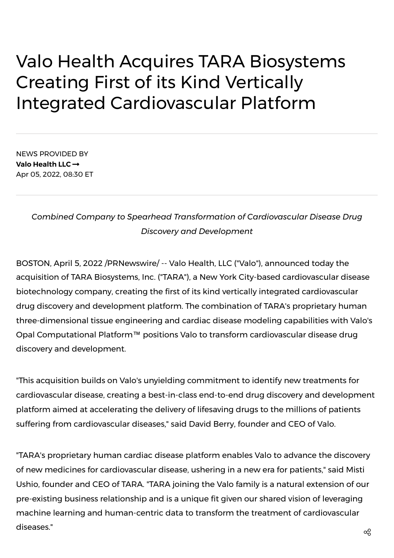## Valo Health Acquires TARA Biosystems Creating First of its Kind Vertically Integrated Cardiovascular Platform

NEWS PROVIDED BY **Valo [Health](https://www.prnewswire.com/news/valo-health-llc/) LLC** Apr 05, 2022, 08:30 ET

## *Combined Company to Spearhead Transformation of Cardiovascular Disease Drug Discovery and Development*

BOSTON, April 5, 2022 /PRNewswire/ -- Valo [Health,](https://c212.net/c/link/?t=0&l=en&o=3494442-1&h=1927214161&u=https%3A%2F%2Fwww.valohealth.com%2F&a=Valo+Health%2C+LLC) LLC ("Valo"), announced today the acquisition of TARA [Biosystems,](https://c212.net/c/link/?t=0&l=en&o=3494442-1&h=3143568465&u=https%3A%2F%2Ftarabiosystems.com%2F&a=TARA+Biosystems%2C+Inc.) Inc. ("TARA"), a New York City-based cardiovascular disease biotechnology company, creating the first of its kind vertically integrated cardiovascular drug discovery and development platform. The combination of TARA's proprietary human three-dimensional tissue engineering and cardiac disease modeling capabilities with Valo's Opal Computational Platform™ positions Valo to transform cardiovascular disease drug discovery and development.

"This acquisition builds on Valo's unyielding commitment to identify new treatments for cardiovascular disease, creating a best-in-class end-to-end drug discovery and development platform aimed at accelerating the delivery of lifesaving drugs to the millions of patients suffering from cardiovascular diseases," said David Berry, [founder](https://c212.net/c/link/?t=0&l=en&o=3494442-1&h=3883941539&u=https%3A%2F%2Fwww.linkedin.com%2Fin%2Fdavidberrymdphd%2F&a=David+Berry%2C+founder+and+CEO+of+Valo) and CEO of Valo.

"TARA's proprietary human cardiac disease platform enables Valo to advance the discovery of new medicines for [cardiovascular](https://c212.net/c/link/?t=0&l=en&o=3494442-1&h=1390934599&u=https%3A%2F%2Fwww.linkedin.com%2Fin%2Fmisti-ushio-10667a5%2F&a=Misti+Ushio%2C+founder+and+CEO+of+TARA) disease, ushering in a new era for patients," said Misti Ushio, founder and CEO of TARA. "TARA joining the Valo family is a natural extension of our pre-existing business relationship and is a unique fit given our shared vision of leveraging machine learning and human-centric data to transform the treatment of cardiovascular  $\alpha$  diseases."  $\alpha$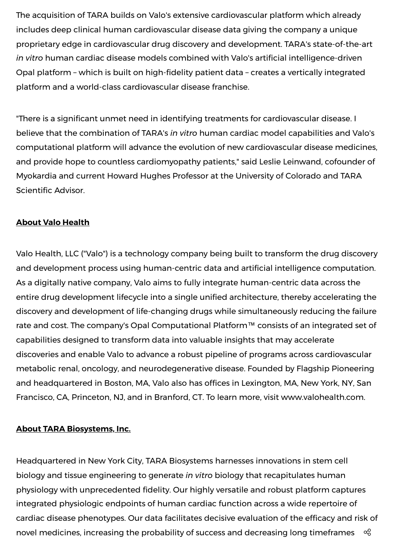The acquisition of TARA builds on Valo's extensive cardiovascular platform which already includes deep clinical human cardiovascular disease data giving the company a unique proprietary edge in cardiovascular drug discovery and development. TARA's state-of-the-art *in vitro* human cardiac disease models combined with Valo's artificial intelligence-driven Opal platform – which is built on high-fidelity patient data – creates a vertically integrated platform and a world-class cardiovascular disease franchise.

"There is a significant unmet need in identifying treatments for cardiovascular disease. I believe that the combination of TARA's *in vitro* human cardiac model capabilities and Valo's computational platform will advance the evolution of new cardiovascular disease medicines, and provide hope to countless cardiomyopathy patients," said Leslie Leinwand, cofounder of Myokardia and current Howard Hughes Professor at the University of Colorado and TARA Scientific Advisor.

## **About Valo Health**

Valo Health, LLC ("Valo") is a technology company being built to transform the drug discovery and development process using human-centric data and artificial intelligence computation. As a digitally native company, Valo aims to fully integrate human-centric data across the entire drug development lifecycle into a single unified architecture, thereby accelerating the discovery and development of life-changing drugs while simultaneously reducing the failure rate and cost. The company's Opal Computational Platform™ consists of an integrated set of capabilities designed to transform data into valuable insights that may accelerate discoveries and enable Valo to advance a robust pipeline of programs across cardiovascular metabolic renal, oncology, and neurodegenerative disease. Founded by Flagship Pioneering and headquartered in Boston, MA, Valo also has offices in Lexington, MA, New York, NY, San Francisco, CA, Princeton, NJ, and in Branford, CT. To learn more, visit [www.valohealth.com.](http://www.valohealth.com/)

## **About TARA Biosystems, Inc.**

Headquartered in New York City, TARA Biosystems harnesses innovations in stem cell biology and tissue engineering to generate *in vitro* biology that recapitulates human physiology with unprecedented fidelity. Our highly versatile and robust platform captures integrated physiologic endpoints of human cardiac function across a wide repertoire of cardiac disease phenotypes. Our data facilitates decisive evaluation of the efficacy and risk of novel medicines, increasing the probability of success and decreasing long timeframes  $\alpha_0$